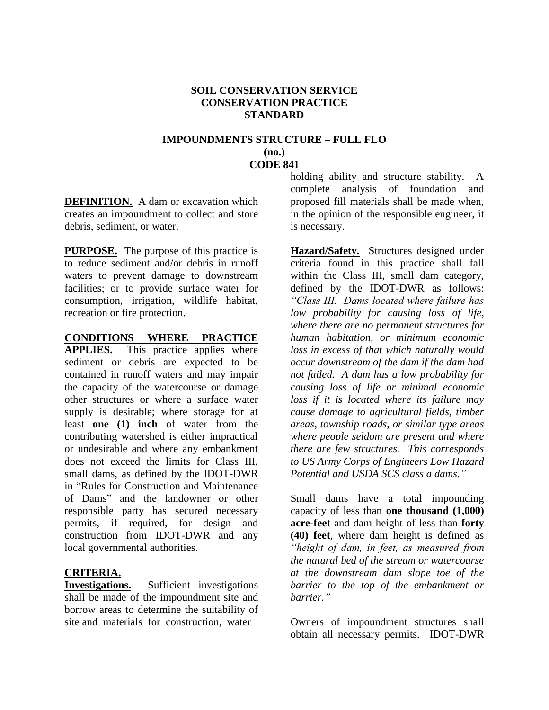#### **SOIL CONSERVATION SERVICE CONSERVATION PRACTICE STANDARD**

#### **IMPOUNDMENTS STRUCTURE – FULL FLO (no.) CODE 841**

**DEFINITION.** A dam or excavation which creates an impoundment to collect and store debris, sediment, or water.

**PURPOSE.** The purpose of this practice is to reduce sediment and/or debris in runoff waters to prevent damage to downstream facilities; or to provide surface water for consumption, irrigation, wildlife habitat, recreation or fire protection.

#### **CONDITIONS WHERE PRACTICE**

**APPLIES.** This practice applies where sediment or debris are expected to be contained in runoff waters and may impair the capacity of the watercourse or damage other structures or where a surface water supply is desirable; where storage for at least **one (1) inch** of water from the contributing watershed is either impractical or undesirable and where any embankment does not exceed the limits for Class III, small dams, as defined by the IDOT-DWR in "Rules for Construction and Maintenance of Dams" and the landowner or other responsible party has secured necessary permits, if required, for design and construction from IDOT-DWR and any local governmental authorities.

## **CRITERIA.**

**Investigations.** Sufficient investigations shall be made of the impoundment site and borrow areas to determine the suitability of site and materials for construction, water

holding ability and structure stability. A complete analysis of foundation and proposed fill materials shall be made when, in the opinion of the responsible engineer, it is necessary.

**Hazard/Safety.** Structures designed under criteria found in this practice shall fall within the Class III, small dam category, defined by the IDOT-DWR as follows: *"Class III. Dams located where failure has low probability for causing loss of life, where there are no permanent structures for human habitation, or minimum economic loss in excess of that which naturally would occur downstream of the dam if the dam had not failed. A dam has a low probability for causing loss of life or minimal economic loss if it is located where its failure may cause damage to agricultural fields, timber areas, township roads, or similar type areas where people seldom are present and where there are few structures. This corresponds to US Army Corps of Engineers Low Hazard Potential and USDA SCS class a dams."*

Small dams have a total impounding capacity of less than **one thousand (1,000) acre-feet** and dam height of less than **forty (40) feet**, where dam height is defined as *"height of dam, in feet, as measured from the natural bed of the stream or watercourse at the downstream dam slope toe of the barrier to the top of the embankment or barrier."*

Owners of impoundment structures shall obtain all necessary permits. IDOT-DWR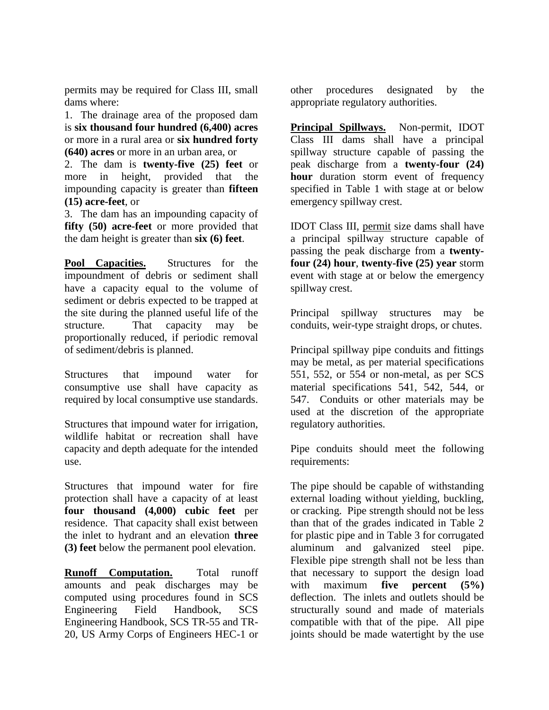permits may be required for Class III, small dams where:

1. The drainage area of the proposed dam is **six thousand four hundred (6,400) acres** or more in a rural area or **six hundred forty (640) acres** or more in an urban area, or

2. The dam is **twenty-five (25) feet** or more in height, provided that the impounding capacity is greater than **fifteen (15) acre-feet**, or

3. The dam has an impounding capacity of **fifty (50) acre-feet** or more provided that the dam height is greater than **six (6) feet**.

**Pool Capacities.** Structures for the impoundment of debris or sediment shall have a capacity equal to the volume of sediment or debris expected to be trapped at the site during the planned useful life of the structure. That capacity may be proportionally reduced, if periodic removal of sediment/debris is planned.

Structures that impound water for consumptive use shall have capacity as required by local consumptive use standards.

Structures that impound water for irrigation, wildlife habitat or recreation shall have capacity and depth adequate for the intended use.

Structures that impound water for fire protection shall have a capacity of at least **four thousand (4,000) cubic feet** per residence. That capacity shall exist between the inlet to hydrant and an elevation **three (3) feet** below the permanent pool elevation.

**Runoff Computation.** Total runoff amounts and peak discharges may be computed using procedures found in SCS Engineering Field Handbook, SCS Engineering Handbook, SCS TR-55 and TR-20, US Army Corps of Engineers HEC-1 or other procedures designated by the appropriate regulatory authorities.

**Principal Spillways.** Non-permit, IDOT Class III dams shall have a principal spillway structure capable of passing the peak discharge from a **twenty-four (24) hour** duration storm event of frequency specified in Table 1 with stage at or below emergency spillway crest.

IDOT Class III, permit size dams shall have a principal spillway structure capable of passing the peak discharge from a **twentyfour (24) hour**, **twenty-five (25) year** storm event with stage at or below the emergency spillway crest.

Principal spillway structures may be conduits, weir-type straight drops, or chutes.

Principal spillway pipe conduits and fittings may be metal, as per material specifications 551, 552, or 554 or non-metal, as per SCS material specifications 541, 542, 544, or 547. Conduits or other materials may be used at the discretion of the appropriate regulatory authorities.

Pipe conduits should meet the following requirements:

The pipe should be capable of withstanding external loading without yielding, buckling, or cracking. Pipe strength should not be less than that of the grades indicated in Table 2 for plastic pipe and in Table 3 for corrugated aluminum and galvanized steel pipe. Flexible pipe strength shall not be less than that necessary to support the design load with maximum **five percent (5%)** deflection. The inlets and outlets should be structurally sound and made of materials compatible with that of the pipe. All pipe joints should be made watertight by the use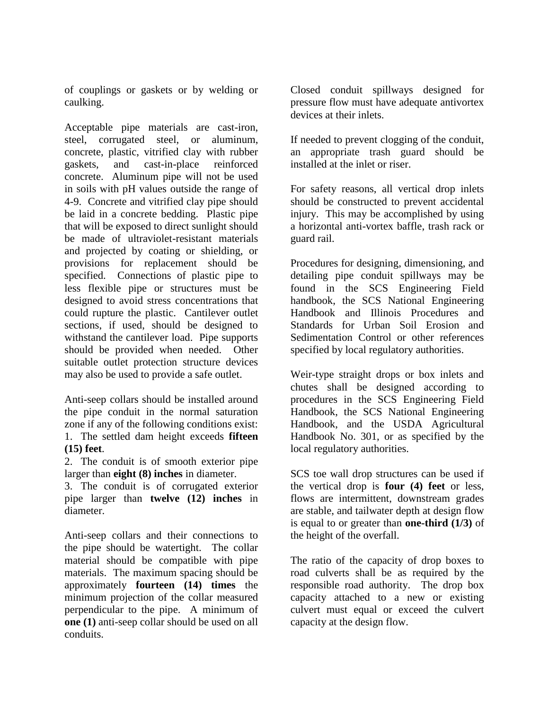of couplings or gaskets or by welding or caulking.

Acceptable pipe materials are cast-iron, steel, corrugated steel, or aluminum, concrete, plastic, vitrified clay with rubber gaskets, and cast-in-place reinforced concrete. Aluminum pipe will not be used in soils with pH values outside the range of 4-9. Concrete and vitrified clay pipe should be laid in a concrete bedding. Plastic pipe that will be exposed to direct sunlight should be made of ultraviolet-resistant materials and projected by coating or shielding, or provisions for replacement should be specified. Connections of plastic pipe to less flexible pipe or structures must be designed to avoid stress concentrations that could rupture the plastic. Cantilever outlet sections, if used, should be designed to withstand the cantilever load. Pipe supports should be provided when needed. Other suitable outlet protection structure devices may also be used to provide a safe outlet.

Anti-seep collars should be installed around the pipe conduit in the normal saturation zone if any of the following conditions exist: 1. The settled dam height exceeds **fifteen (15) feet**.

2. The conduit is of smooth exterior pipe larger than **eight (8) inches** in diameter.

3. The conduit is of corrugated exterior pipe larger than **twelve (12) inches** in diameter.

Anti-seep collars and their connections to the pipe should be watertight. The collar material should be compatible with pipe materials. The maximum spacing should be approximately **fourteen (14) times** the minimum projection of the collar measured perpendicular to the pipe. A minimum of **one (1)** anti-seep collar should be used on all conduits.

Closed conduit spillways designed for pressure flow must have adequate antivortex devices at their inlets.

If needed to prevent clogging of the conduit, an appropriate trash guard should be installed at the inlet or riser.

For safety reasons, all vertical drop inlets should be constructed to prevent accidental injury. This may be accomplished by using a horizontal anti-vortex baffle, trash rack or guard rail.

Procedures for designing, dimensioning, and detailing pipe conduit spillways may be found in the SCS Engineering Field handbook, the SCS National Engineering Handbook and Illinois Procedures and Standards for Urban Soil Erosion and Sedimentation Control or other references specified by local regulatory authorities.

Weir-type straight drops or box inlets and chutes shall be designed according to procedures in the SCS Engineering Field Handbook, the SCS National Engineering Handbook, and the USDA Agricultural Handbook No. 301, or as specified by the local regulatory authorities.

SCS toe wall drop structures can be used if the vertical drop is **four (4) feet** or less, flows are intermittent, downstream grades are stable, and tailwater depth at design flow is equal to or greater than **one-third (1/3)** of the height of the overfall.

The ratio of the capacity of drop boxes to road culverts shall be as required by the responsible road authority. The drop box capacity attached to a new or existing culvert must equal or exceed the culvert capacity at the design flow.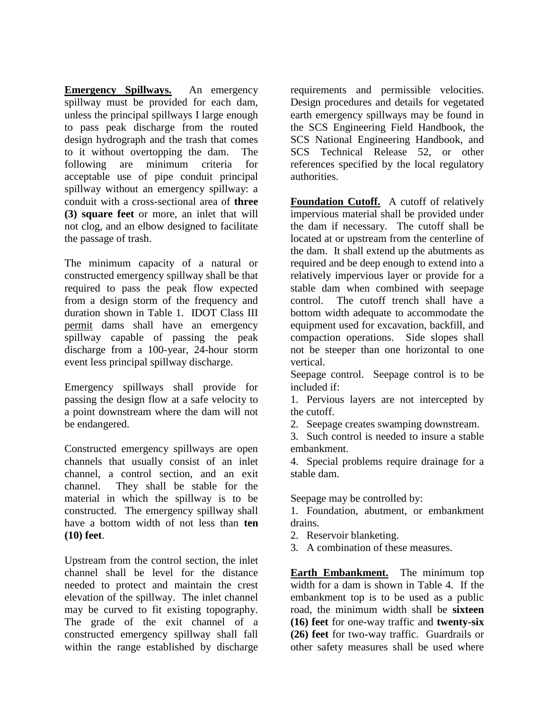**Emergency Spillways.** An emergency spillway must be provided for each dam, unless the principal spillways I large enough to pass peak discharge from the routed design hydrograph and the trash that comes to it without overtopping the dam. The following are minimum criteria for acceptable use of pipe conduit principal spillway without an emergency spillway: a conduit with a cross-sectional area of **three (3) square feet** or more, an inlet that will not clog, and an elbow designed to facilitate the passage of trash.

The minimum capacity of a natural or constructed emergency spillway shall be that required to pass the peak flow expected from a design storm of the frequency and duration shown in Table 1. IDOT Class III permit dams shall have an emergency spillway capable of passing the peak discharge from a 100-year, 24-hour storm event less principal spillway discharge.

Emergency spillways shall provide for passing the design flow at a safe velocity to a point downstream where the dam will not be endangered.

Constructed emergency spillways are open channels that usually consist of an inlet channel, a control section, and an exit channel. They shall be stable for the material in which the spillway is to be constructed. The emergency spillway shall have a bottom width of not less than **ten (10) feet**.

Upstream from the control section, the inlet channel shall be level for the distance needed to protect and maintain the crest elevation of the spillway. The inlet channel may be curved to fit existing topography. The grade of the exit channel of a constructed emergency spillway shall fall within the range established by discharge

requirements and permissible velocities. Design procedures and details for vegetated earth emergency spillways may be found in the SCS Engineering Field Handbook, the SCS National Engineering Handbook, and SCS Technical Release 52, or other references specified by the local regulatory authorities.

**Foundation Cutoff.** A cutoff of relatively impervious material shall be provided under the dam if necessary. The cutoff shall be located at or upstream from the centerline of the dam. It shall extend up the abutments as required and be deep enough to extend into a relatively impervious layer or provide for a stable dam when combined with seepage control. The cutoff trench shall have a bottom width adequate to accommodate the equipment used for excavation, backfill, and compaction operations. Side slopes shall not be steeper than one horizontal to one vertical.

Seepage control. Seepage control is to be included if:

1. Pervious layers are not intercepted by the cutoff.

2. Seepage creates swamping downstream.

3. Such control is needed to insure a stable embankment.

4. Special problems require drainage for a stable dam.

Seepage may be controlled by:

1. Foundation, abutment, or embankment drains.

- 2. Reservoir blanketing.
- 3. A combination of these measures.

**Earth Embankment.** The minimum top width for a dam is shown in Table 4. If the embankment top is to be used as a public road, the minimum width shall be **sixteen (16) feet** for one-way traffic and **twenty-six (26) feet** for two-way traffic. Guardrails or other safety measures shall be used where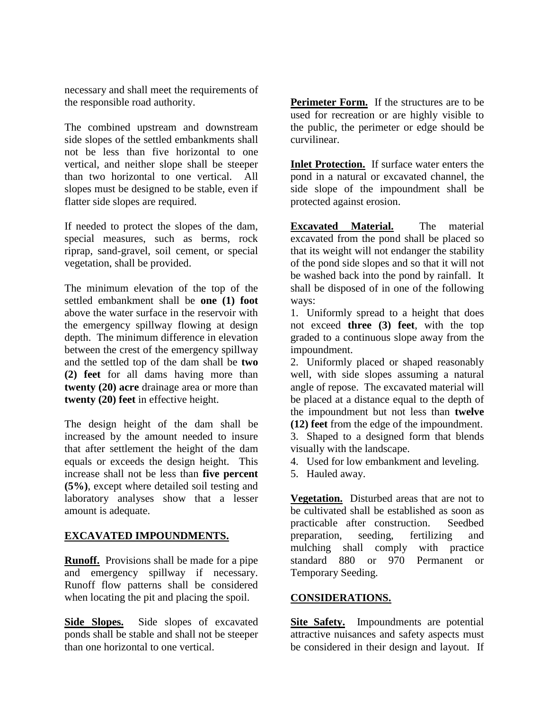necessary and shall meet the requirements of the responsible road authority.

The combined upstream and downstream side slopes of the settled embankments shall not be less than five horizontal to one vertical, and neither slope shall be steeper than two horizontal to one vertical. All slopes must be designed to be stable, even if flatter side slopes are required.

If needed to protect the slopes of the dam, special measures, such as berms, rock riprap, sand-gravel, soil cement, or special vegetation, shall be provided.

The minimum elevation of the top of the settled embankment shall be **one (1) foot** above the water surface in the reservoir with the emergency spillway flowing at design depth. The minimum difference in elevation between the crest of the emergency spillway and the settled top of the dam shall be **two (2) feet** for all dams having more than **twenty (20) acre** drainage area or more than **twenty (20) feet** in effective height.

The design height of the dam shall be increased by the amount needed to insure that after settlement the height of the dam equals or exceeds the design height. This increase shall not be less than **five percent (5%)**, except where detailed soil testing and laboratory analyses show that a lesser amount is adequate.

## **EXCAVATED IMPOUNDMENTS.**

**Runoff.** Provisions shall be made for a pipe and emergency spillway if necessary. Runoff flow patterns shall be considered when locating the pit and placing the spoil.

**Side Slopes.** Side slopes of excavated ponds shall be stable and shall not be steeper than one horizontal to one vertical.

**Perimeter Form.** If the structures are to be used for recreation or are highly visible to the public, the perimeter or edge should be curvilinear.

**Inlet Protection.** If surface water enters the pond in a natural or excavated channel, the side slope of the impoundment shall be protected against erosion.

**Excavated Material.** The material excavated from the pond shall be placed so that its weight will not endanger the stability of the pond side slopes and so that it will not be washed back into the pond by rainfall. It shall be disposed of in one of the following ways:

1. Uniformly spread to a height that does not exceed **three (3) feet**, with the top graded to a continuous slope away from the impoundment.

2. Uniformly placed or shaped reasonably well, with side slopes assuming a natural angle of repose. The excavated material will be placed at a distance equal to the depth of the impoundment but not less than **twelve (12) feet** from the edge of the impoundment. 3. Shaped to a designed form that blends

visually with the landscape.

4. Used for low embankment and leveling.

5. Hauled away.

**Vegetation.** Disturbed areas that are not to be cultivated shall be established as soon as practicable after construction. Seedbed preparation, seeding, fertilizing and mulching shall comply with practice standard 880 or 970 Permanent or Temporary Seeding.

## **CONSIDERATIONS.**

**Site Safety.** Impoundments are potential attractive nuisances and safety aspects must be considered in their design and layout. If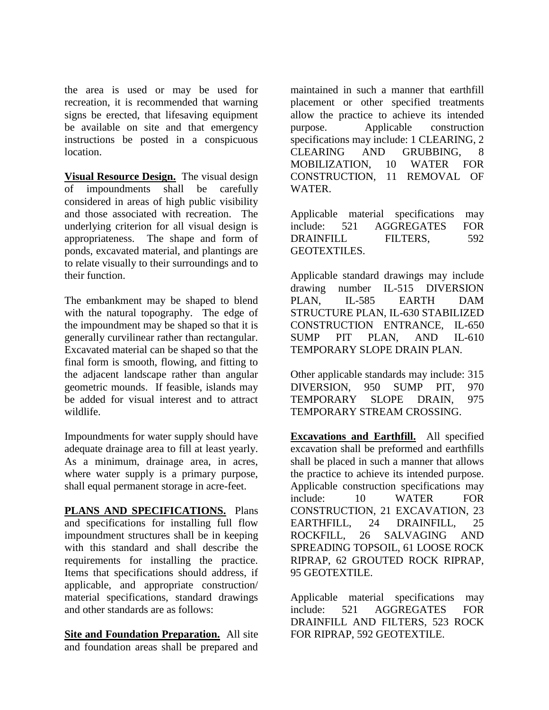the area is used or may be used for recreation, it is recommended that warning signs be erected, that lifesaving equipment be available on site and that emergency instructions be posted in a conspicuous location.

**Visual Resource Design.** The visual design of impoundments shall be carefully considered in areas of high public visibility and those associated with recreation. The underlying criterion for all visual design is appropriateness. The shape and form of ponds, excavated material, and plantings are to relate visually to their surroundings and to their function.

The embankment may be shaped to blend with the natural topography. The edge of the impoundment may be shaped so that it is generally curvilinear rather than rectangular. Excavated material can be shaped so that the final form is smooth, flowing, and fitting to the adjacent landscape rather than angular geometric mounds. If feasible, islands may be added for visual interest and to attract wildlife.

Impoundments for water supply should have adequate drainage area to fill at least yearly. As a minimum, drainage area, in acres, where water supply is a primary purpose, shall equal permanent storage in acre-feet.

**PLANS AND SPECIFICATIONS.** Plans and specifications for installing full flow impoundment structures shall be in keeping with this standard and shall describe the requirements for installing the practice. Items that specifications should address, if applicable, and appropriate construction/ material specifications, standard drawings and other standards are as follows:

**Site and Foundation Preparation.** All site and foundation areas shall be prepared and maintained in such a manner that earthfill placement or other specified treatments allow the practice to achieve its intended purpose. Applicable construction specifications may include: 1 CLEARING, 2 CLEARING AND GRUBBING, 8 MOBILIZATION, 10 WATER FOR CONSTRUCTION, 11 REMOVAL OF WATER.

Applicable material specifications may include: 521 AGGREGATES FOR DRAINFILL FILTERS, 592 GEOTEXTILES.

Applicable standard drawings may include drawing number IL-515 DIVERSION PLAN, IL-585 EARTH DAM STRUCTURE PLAN, IL-630 STABILIZED CONSTRUCTION ENTRANCE, IL-650 SUMP PIT PLAN, AND IL-610 TEMPORARY SLOPE DRAIN PLAN.

Other applicable standards may include: 315 DIVERSION, 950 SUMP PIT, 970 TEMPORARY SLOPE DRAIN, 975 TEMPORARY STREAM CROSSING.

**Excavations and Earthfill.** All specified excavation shall be preformed and earthfills shall be placed in such a manner that allows the practice to achieve its intended purpose. Applicable construction specifications may include: 10 WATER FOR CONSTRUCTION, 21 EXCAVATION, 23 EARTHFILL, 24 DRAINFILL, 25 ROCKFILL, 26 SALVAGING AND SPREADING TOPSOIL, 61 LOOSE ROCK RIPRAP, 62 GROUTED ROCK RIPRAP, 95 GEOTEXTILE.

Applicable material specifications may include: 521 AGGREGATES FOR DRAINFILL AND FILTERS, 523 ROCK FOR RIPRAP, 592 GEOTEXTILE.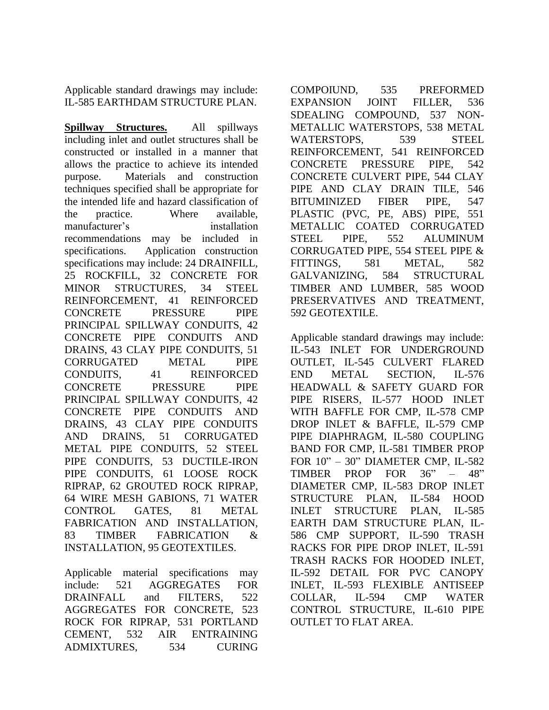Applicable standard drawings may include: IL-585 EARTHDAM STRUCTURE PLAN.

**Spillway Structures.** All spillways including inlet and outlet structures shall be constructed or installed in a manner that allows the practice to achieve its intended purpose. Materials and construction techniques specified shall be appropriate for the intended life and hazard classification of the practice. Where available, manufacturer's installation recommendations may be included in specifications. Application construction specifications may include: 24 DRAINFILL, 25 ROCKFILL, 32 CONCRETE FOR MINOR STRUCTURES, 34 STEEL REINFORCEMENT, 41 REINFORCED CONCRETE PRESSURE PIPE PRINCIPAL SPILLWAY CONDUITS, 42 CONCRETE PIPE CONDUITS AND DRAINS, 43 CLAY PIPE CONDUITS, 51 CORRUGATED METAL PIPE CONDUITS, 41 REINFORCED CONCRETE PRESSURE PIPE PRINCIPAL SPILLWAY CONDUITS, 42 CONCRETE PIPE CONDUITS AND DRAINS, 43 CLAY PIPE CONDUITS AND DRAINS, 51 CORRUGATED METAL PIPE CONDUITS, 52 STEEL PIPE CONDUITS, 53 DUCTILE-IRON PIPE CONDUITS, 61 LOOSE ROCK RIPRAP, 62 GROUTED ROCK RIPRAP, 64 WIRE MESH GABIONS, 71 WATER CONTROL GATES, 81 METAL FABRICATION AND INSTALLATION, 83 TIMBER FABRICATION & INSTALLATION, 95 GEOTEXTILES.

Applicable material specifications may include: 521 AGGREGATES FOR DRAINFALL and FILTERS, 522 AGGREGATES FOR CONCRETE, 523 ROCK FOR RIPRAP, 531 PORTLAND CEMENT, 532 AIR ENTRAINING ADMIXTURES, 534 CURING COMPOIUND, 535 PREFORMED EXPANSION JOINT FILLER, 536 SDEALING COMPOUND, 537 NON-METALLIC WATERSTOPS, 538 METAL WATERSTOPS, 539 STEEL REINFORCEMENT, 541 REINFORCED CONCRETE PRESSURE PIPE, 542 CONCRETE CULVERT PIPE, 544 CLAY PIPE AND CLAY DRAIN TILE, 546 BITUMINIZED FIBER PIPE, 547 PLASTIC (PVC, PE, ABS) PIPE, 551 METALLIC COATED CORRUGATED STEEL PIPE, 552 ALUMINUM CORRUGATED PIPE, 554 STEEL PIPE & FITTINGS, 581 METAL, 582 GALVANIZING, 584 STRUCTURAL TIMBER AND LUMBER, 585 WOOD PRESERVATIVES AND TREATMENT, 592 GEOTEXTILE.

Applicable standard drawings may include: IL-543 INLET FOR UNDERGROUND OUTLET, IL-545 CULVERT FLARED END METAL SECTION, IL-576 HEADWALL & SAFETY GUARD FOR PIPE RISERS, IL-577 HOOD INLET WITH BAFFLE FOR CMP, IL-578 CMP DROP INLET & BAFFLE, IL-579 CMP PIPE DIAPHRAGM, IL-580 COUPLING BAND FOR CMP, IL-581 TIMBER PROP FOR 10" – 30" DIAMETER CMP, IL-582 TIMBER PROP FOR 36" – 48" DIAMETER CMP, IL-583 DROP INLET STRUCTURE PLAN, IL-584 HOOD INLET STRUCTURE PLAN, IL-585 EARTH DAM STRUCTURE PLAN, IL-586 CMP SUPPORT, IL-590 TRASH RACKS FOR PIPE DROP INLET, IL-591 TRASH RACKS FOR HOODED INLET, IL-592 DETAIL FOR PVC CANOPY INLET, IL-593 FLEXIBLE ANTISEEP COLLAR, IL-594 CMP WATER CONTROL STRUCTURE, IL-610 PIPE OUTLET TO FLAT AREA.